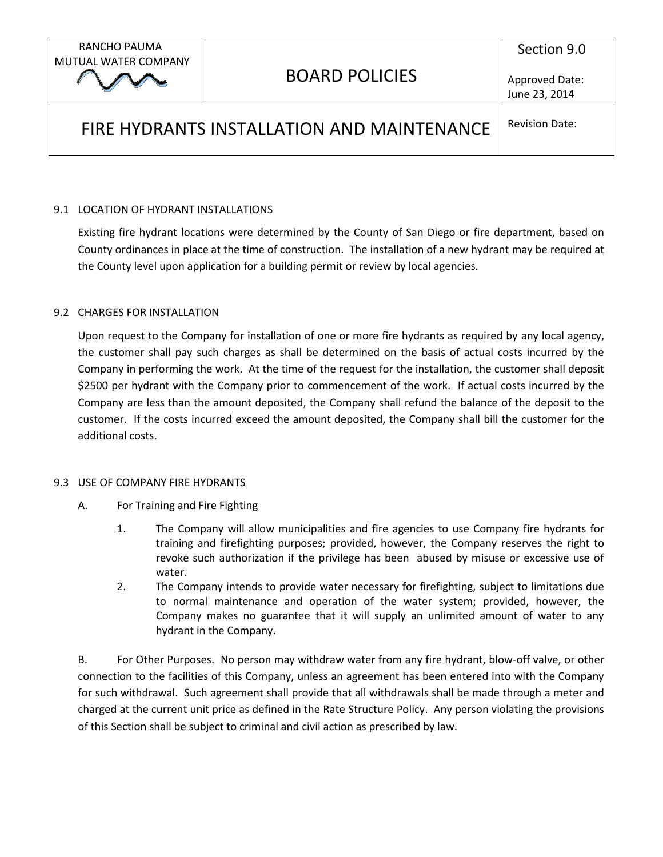# FIRE HYDRANTS INSTALLATION AND MAINTENANCE

Revision Date:

## 9.1 LOCATION OF HYDRANT INSTALLATIONS

Existing fire hydrant locations were determined by the County of San Diego or fire department, based on County ordinances in place at the time of construction. The installation of a new hydrant may be required at the County level upon application for a building permit or review by local agencies.

## 9.2 CHARGES FOR INSTALLATION

Upon request to the Company for installation of one or more fire hydrants as required by any local agency, the customer shall pay such charges as shall be determined on the basis of actual costs incurred by the Company in performing the work. At the time of the request for the installation, the customer shall deposit \$2500 per hydrant with the Company prior to commencement of the work. If actual costs incurred by the Company are less than the amount deposited, the Company shall refund the balance of the deposit to the customer. If the costs incurred exceed the amount deposited, the Company shall bill the customer for the additional costs.

#### 9.3 USE OF COMPANY FIRE HYDRANTS

- A. For Training and Fire Fighting
	- 1. The Company will allow municipalities and fire agencies to use Company fire hydrants for training and firefighting purposes; provided, however, the Company reserves the right to revoke such authorization if the privilege has been abused by misuse or excessive use of water.
	- 2. The Company intends to provide water necessary for firefighting, subject to limitations due to normal maintenance and operation of the water system; provided, however, the Company makes no guarantee that it will supply an unlimited amount of water to any hydrant in the Company.

B. For Other Purposes. No person may withdraw water from any fire hydrant, blow-off valve, or other connection to the facilities of this Company, unless an agreement has been entered into with the Company for such withdrawal. Such agreement shall provide that all withdrawals shall be made through a meter and charged at the current unit price as defined in the Rate Structure Policy. Any person violating the provisions of this Section shall be subject to criminal and civil action as prescribed by law.